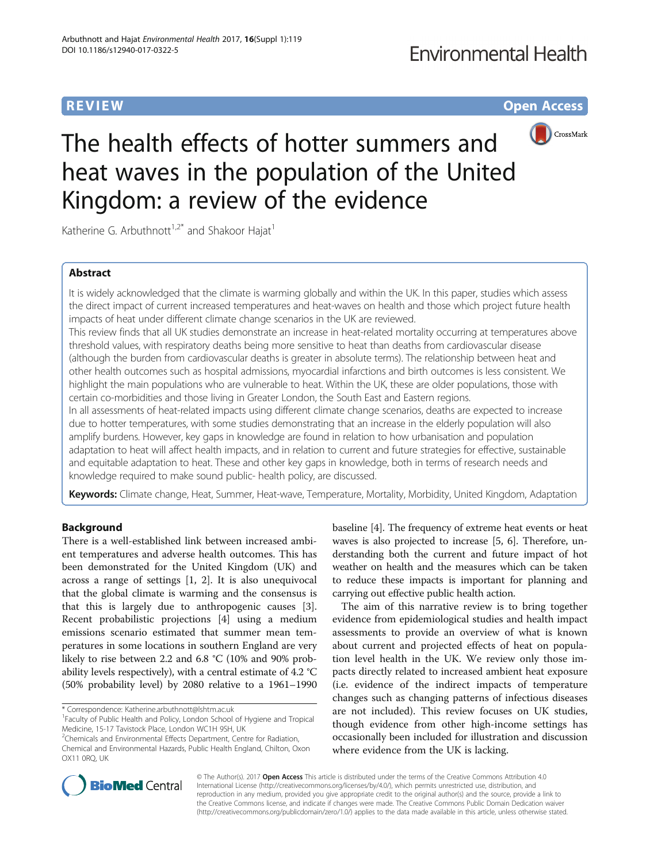**REVIEW CONSTRUCTION CONSTRUCTION CONSTRUCTS** 



# The health effects of hotter summers and heat waves in the population of the United Kingdom: a review of the evidence

Katherine G. Arbuthnott<sup>1,2\*</sup> and Shakoor Hajat<sup>1</sup>

# Abstract

It is widely acknowledged that the climate is warming globally and within the UK. In this paper, studies which assess the direct impact of current increased temperatures and heat-waves on health and those which project future health impacts of heat under different climate change scenarios in the UK are reviewed.

This review finds that all UK studies demonstrate an increase in heat-related mortality occurring at temperatures above threshold values, with respiratory deaths being more sensitive to heat than deaths from cardiovascular disease (although the burden from cardiovascular deaths is greater in absolute terms). The relationship between heat and other health outcomes such as hospital admissions, myocardial infarctions and birth outcomes is less consistent. We highlight the main populations who are vulnerable to heat. Within the UK, these are older populations, those with certain co-morbidities and those living in Greater London, the South East and Eastern regions.

In all assessments of heat-related impacts using different climate change scenarios, deaths are expected to increase due to hotter temperatures, with some studies demonstrating that an increase in the elderly population will also amplify burdens. However, key gaps in knowledge are found in relation to how urbanisation and population adaptation to heat will affect health impacts, and in relation to current and future strategies for effective, sustainable and equitable adaptation to heat. These and other key gaps in knowledge, both in terms of research needs and knowledge required to make sound public- health policy, are discussed.

Keywords: Climate change, Heat, Summer, Heat-wave, Temperature, Mortality, Morbidity, United Kingdom, Adaptation

# Background

There is a well-established link between increased ambient temperatures and adverse health outcomes. This has been demonstrated for the United Kingdom (UK) and across a range of settings [\[1](#page-9-0), [2\]](#page-9-0). It is also unequivocal that the global climate is warming and the consensus is that this is largely due to anthropogenic causes [\[3](#page-9-0)]. Recent probabilistic projections [[4\]](#page-9-0) using a medium emissions scenario estimated that summer mean temperatures in some locations in southern England are very likely to rise between 2.2 and 6.8 °C (10% and 90% probability levels respectively), with a central estimate of 4.2 °C (50% probability level) by 2080 relative to a 1961–1990

\* Correspondence: [Katherine.arbuthnott@lshtm.ac.uk](mailto:Katherine.arbuthnott@lshtm.ac.uk) <sup>1</sup>

baseline [[4](#page-9-0)]. The frequency of extreme heat events or heat waves is also projected to increase [\[5](#page-9-0), [6\]](#page-9-0). Therefore, understanding both the current and future impact of hot weather on health and the measures which can be taken to reduce these impacts is important for planning and carrying out effective public health action.

The aim of this narrative review is to bring together evidence from epidemiological studies and health impact assessments to provide an overview of what is known about current and projected effects of heat on population level health in the UK. We review only those impacts directly related to increased ambient heat exposure (i.e. evidence of the indirect impacts of temperature changes such as changing patterns of infectious diseases are not included). This review focuses on UK studies, though evidence from other high-income settings has occasionally been included for illustration and discussion where evidence from the UK is lacking.



© The Author(s). 2017 **Open Access** This article is distributed under the terms of the Creative Commons Attribution 4.0 International License [\(http://creativecommons.org/licenses/by/4.0/](http://creativecommons.org/licenses/by/4.0/)), which permits unrestricted use, distribution, and reproduction in any medium, provided you give appropriate credit to the original author(s) and the source, provide a link to the Creative Commons license, and indicate if changes were made. The Creative Commons Public Domain Dedication waiver [\(http://creativecommons.org/publicdomain/zero/1.0/](http://creativecommons.org/publicdomain/zero/1.0/)) applies to the data made available in this article, unless otherwise stated.

Faculty of Public Health and Policy, London School of Hygiene and Tropical Medicine, 15-17 Tavistock Place, London WC1H 9SH, UK

<sup>&</sup>lt;sup>2</sup>Chemicals and Environmental Effects Department, Centre for Radiation, Chemical and Environmental Hazards, Public Health England, Chilton, Oxon OX11 0RQ, UK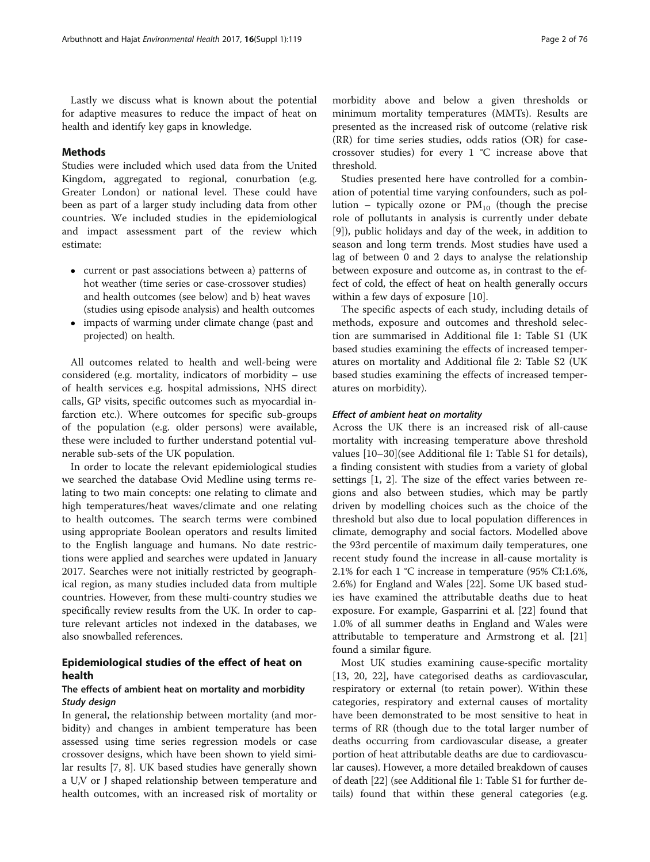Lastly we discuss what is known about the potential for adaptive measures to reduce the impact of heat on health and identify key gaps in knowledge.

# Methods

Studies were included which used data from the United Kingdom, aggregated to regional, conurbation (e.g. Greater London) or national level. These could have been as part of a larger study including data from other countries. We included studies in the epidemiological and impact assessment part of the review which estimate:

- current or past associations between a) patterns of hot weather (time series or case-crossover studies) and health outcomes (see below) and b) heat waves (studies using episode analysis) and health outcomes
- impacts of warming under climate change (past and projected) on health.

All outcomes related to health and well-being were considered (e.g. mortality, indicators of morbidity – use of health services e.g. hospital admissions, NHS direct calls, GP visits, specific outcomes such as myocardial infarction etc.). Where outcomes for specific sub-groups of the population (e.g. older persons) were available, these were included to further understand potential vulnerable sub-sets of the UK population.

In order to locate the relevant epidemiological studies we searched the database Ovid Medline using terms relating to two main concepts: one relating to climate and high temperatures/heat waves/climate and one relating to health outcomes. The search terms were combined using appropriate Boolean operators and results limited to the English language and humans. No date restrictions were applied and searches were updated in January 2017. Searches were not initially restricted by geographical region, as many studies included data from multiple countries. However, from these multi-country studies we specifically review results from the UK. In order to capture relevant articles not indexed in the databases, we also snowballed references.

# Epidemiological studies of the effect of heat on health

# The effects of ambient heat on mortality and morbidity Study design

In general, the relationship between mortality (and morbidity) and changes in ambient temperature has been assessed using time series regression models or case crossover designs, which have been shown to yield similar results [[7, 8](#page-9-0)]. UK based studies have generally shown a U,V or J shaped relationship between temperature and health outcomes, with an increased risk of mortality or morbidity above and below a given thresholds or minimum mortality temperatures (MMTs). Results are presented as the increased risk of outcome (relative risk (RR) for time series studies, odds ratios (OR) for casecrossover studies) for every 1 °C increase above that threshold.

Studies presented here have controlled for a combination of potential time varying confounders, such as pollution – typically ozone or  $PM_{10}$  (though the precise role of pollutants in analysis is currently under debate [[9\]](#page-9-0)), public holidays and day of the week, in addition to season and long term trends. Most studies have used a lag of between 0 and 2 days to analyse the relationship between exposure and outcome as, in contrast to the effect of cold, the effect of heat on health generally occurs within a few days of exposure [\[10](#page-9-0)].

The specific aspects of each study, including details of methods, exposure and outcomes and threshold selection are summarised in Additional file [1](#page-8-0): Table S1 (UK based studies examining the effects of increased temperatures on mortality and Additional file [2:](#page-8-0) Table S2 (UK based studies examining the effects of increased temperatures on morbidity).

# Effect of ambient heat on mortality

Across the UK there is an increased risk of all-cause mortality with increasing temperature above threshold values [[10](#page-9-0)–[30](#page-10-0)](see Additional file [1:](#page-8-0) Table S1 for details), a finding consistent with studies from a variety of global settings [[1, 2\]](#page-9-0). The size of the effect varies between regions and also between studies, which may be partly driven by modelling choices such as the choice of the threshold but also due to local population differences in climate, demography and social factors. Modelled above the 93rd percentile of maximum daily temperatures, one recent study found the increase in all-cause mortality is 2.1% for each 1 °C increase in temperature (95% CI:1.6%, 2.6%) for England and Wales [\[22](#page-9-0)]. Some UK based studies have examined the attributable deaths due to heat exposure. For example, Gasparrini et al. [\[22](#page-9-0)] found that 1.0% of all summer deaths in England and Wales were attributable to temperature and Armstrong et al. [[21](#page-9-0)] found a similar figure.

Most UK studies examining cause-specific mortality [[13, 20](#page-9-0), [22\]](#page-9-0), have categorised deaths as cardiovascular, respiratory or external (to retain power). Within these categories, respiratory and external causes of mortality have been demonstrated to be most sensitive to heat in terms of RR (though due to the total larger number of deaths occurring from cardiovascular disease, a greater portion of heat attributable deaths are due to cardiovascular causes). However, a more detailed breakdown of causes of death [[22](#page-9-0)] (see Additional file [1](#page-8-0): Table S1 for further details) found that within these general categories (e.g.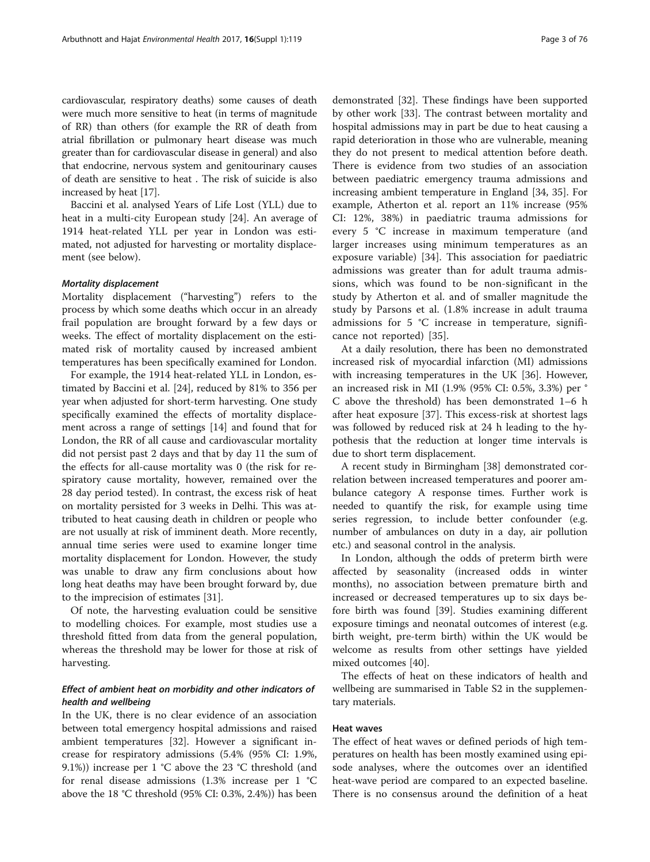cardiovascular, respiratory deaths) some causes of death were much more sensitive to heat (in terms of magnitude of RR) than others (for example the RR of death from atrial fibrillation or pulmonary heart disease was much greater than for cardiovascular disease in general) and also that endocrine, nervous system and genitourinary causes of death are sensitive to heat . The risk of suicide is also increased by heat [\[17](#page-9-0)].

Baccini et al. analysed Years of Life Lost (YLL) due to heat in a multi-city European study [\[24](#page-9-0)]. An average of 1914 heat-related YLL per year in London was estimated, not adjusted for harvesting or mortality displacement (see below).

#### Mortality displacement

Mortality displacement ("harvesting") refers to the process by which some deaths which occur in an already frail population are brought forward by a few days or weeks. The effect of mortality displacement on the estimated risk of mortality caused by increased ambient temperatures has been specifically examined for London.

For example, the 1914 heat-related YLL in London, estimated by Baccini et al. [\[24\]](#page-9-0), reduced by 81% to 356 per year when adjusted for short-term harvesting. One study specifically examined the effects of mortality displacement across a range of settings [\[14](#page-9-0)] and found that for London, the RR of all cause and cardiovascular mortality did not persist past 2 days and that by day 11 the sum of the effects for all-cause mortality was 0 (the risk for respiratory cause mortality, however, remained over the 28 day period tested). In contrast, the excess risk of heat on mortality persisted for 3 weeks in Delhi. This was attributed to heat causing death in children or people who are not usually at risk of imminent death. More recently, annual time series were used to examine longer time mortality displacement for London. However, the study was unable to draw any firm conclusions about how long heat deaths may have been brought forward by, due to the imprecision of estimates [[31](#page-10-0)].

Of note, the harvesting evaluation could be sensitive to modelling choices. For example, most studies use a threshold fitted from data from the general population, whereas the threshold may be lower for those at risk of harvesting.

# Effect of ambient heat on morbidity and other indicators of health and wellbeing

In the UK, there is no clear evidence of an association between total emergency hospital admissions and raised ambient temperatures [\[32](#page-10-0)]. However a significant increase for respiratory admissions (5.4% (95% CI: 1.9%, 9.1%)) increase per 1 °C above the 23 °C threshold (and for renal disease admissions (1.3% increase per 1 °C above the 18 °C threshold (95% CI: 0.3%, 2.4%)) has been

demonstrated [[32\]](#page-10-0). These findings have been supported by other work [\[33](#page-10-0)]. The contrast between mortality and hospital admissions may in part be due to heat causing a rapid deterioration in those who are vulnerable, meaning they do not present to medical attention before death. There is evidence from two studies of an association between paediatric emergency trauma admissions and increasing ambient temperature in England [[34, 35\]](#page-10-0). For example, Atherton et al. report an 11% increase (95% CI: 12%, 38%) in paediatric trauma admissions for every 5 °C increase in maximum temperature (and larger increases using minimum temperatures as an exposure variable) [\[34](#page-10-0)]. This association for paediatric admissions was greater than for adult trauma admissions, which was found to be non-significant in the study by Atherton et al. and of smaller magnitude the study by Parsons et al. (1.8% increase in adult trauma admissions for 5 °C increase in temperature, significance not reported) [[35\]](#page-10-0).

At a daily resolution, there has been no demonstrated increased risk of myocardial infarction (MI) admissions with increasing temperatures in the UK [\[36\]](#page-10-0). However, an increased risk in MI (1.9% (95% CI: 0.5%, 3.3%) per ° C above the threshold) has been demonstrated 1–6 h after heat exposure [[37\]](#page-10-0). This excess-risk at shortest lags was followed by reduced risk at 24 h leading to the hypothesis that the reduction at longer time intervals is due to short term displacement.

A recent study in Birmingham [\[38\]](#page-10-0) demonstrated correlation between increased temperatures and poorer ambulance category A response times. Further work is needed to quantify the risk, for example using time series regression, to include better confounder (e.g. number of ambulances on duty in a day, air pollution etc.) and seasonal control in the analysis.

In London, although the odds of preterm birth were affected by seasonality (increased odds in winter months), no association between premature birth and increased or decreased temperatures up to six days before birth was found [\[39](#page-10-0)]. Studies examining different exposure timings and neonatal outcomes of interest (e.g. birth weight, pre-term birth) within the UK would be welcome as results from other settings have yielded mixed outcomes [\[40](#page-10-0)].

The effects of heat on these indicators of health and wellbeing are summarised in Table S2 in the supplementary materials.

## Heat waves

The effect of heat waves or defined periods of high temperatures on health has been mostly examined using episode analyses, where the outcomes over an identified heat-wave period are compared to an expected baseline. There is no consensus around the definition of a heat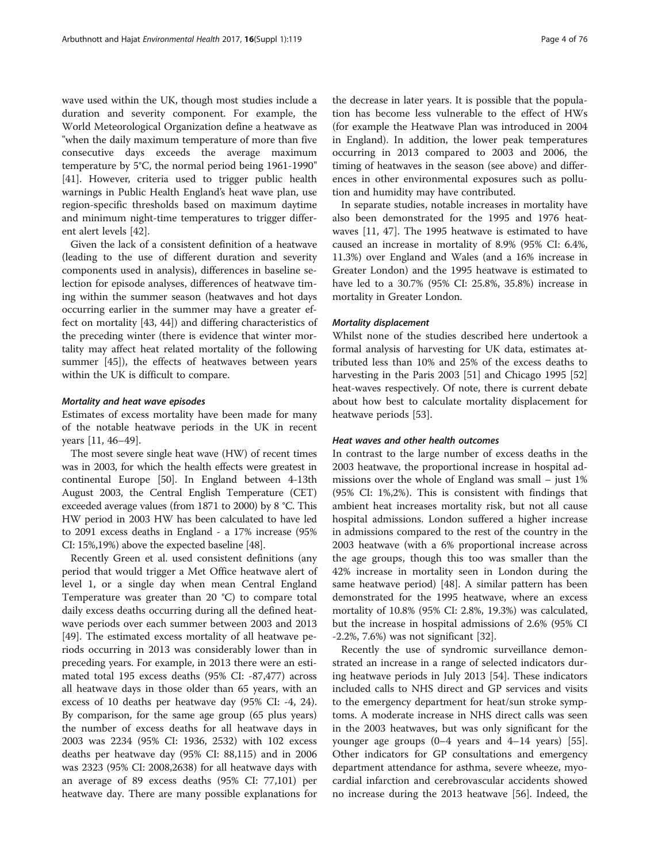wave used within the UK, though most studies include a duration and severity component. For example, the World Meteorological Organization define a heatwave as "when the daily maximum temperature of more than five consecutive days exceeds the average maximum temperature by 5°C, the normal period being 1961-1990" [[41\]](#page-10-0). However, criteria used to trigger public health warnings in Public Health England's heat wave plan, use region-specific thresholds based on maximum daytime and minimum night-time temperatures to trigger different alert levels [\[42\]](#page-10-0).

Given the lack of a consistent definition of a heatwave (leading to the use of different duration and severity components used in analysis), differences in baseline selection for episode analyses, differences of heatwave timing within the summer season (heatwaves and hot days occurring earlier in the summer may have a greater effect on mortality [[43, 44\]](#page-10-0)) and differing characteristics of the preceding winter (there is evidence that winter mortality may affect heat related mortality of the following summer [[45](#page-10-0)]), the effects of heatwaves between years within the UK is difficult to compare.

# Mortality and heat wave episodes

Estimates of excess mortality have been made for many of the notable heatwave periods in the UK in recent years [\[11](#page-9-0), [46](#page-10-0)–[49\]](#page-10-0).

The most severe single heat wave (HW) of recent times was in 2003, for which the health effects were greatest in continental Europe [\[50](#page-10-0)]. In England between 4-13th August 2003, the Central English Temperature (CET) exceeded average values (from 1871 to 2000) by 8 °C. This HW period in 2003 HW has been calculated to have led to 2091 excess deaths in England - a 17% increase (95% CI: 15%,19%) above the expected baseline [\[48](#page-10-0)].

Recently Green et al. used consistent definitions (any period that would trigger a Met Office heatwave alert of level 1, or a single day when mean Central England Temperature was greater than 20 °C) to compare total daily excess deaths occurring during all the defined heatwave periods over each summer between 2003 and 2013 [[49\]](#page-10-0). The estimated excess mortality of all heatwave periods occurring in 2013 was considerably lower than in preceding years. For example, in 2013 there were an estimated total 195 excess deaths (95% CI: -87,477) across all heatwave days in those older than 65 years, with an excess of 10 deaths per heatwave day (95% CI: -4, 24). By comparison, for the same age group (65 plus years) the number of excess deaths for all heatwave days in 2003 was 2234 (95% CI: 1936, 2532) with 102 excess deaths per heatwave day (95% CI: 88,115) and in 2006 was 2323 (95% CI: 2008,2638) for all heatwave days with an average of 89 excess deaths (95% CI: 77,101) per heatwave day. There are many possible explanations for

the decrease in later years. It is possible that the population has become less vulnerable to the effect of HWs (for example the Heatwave Plan was introduced in 2004 in England). In addition, the lower peak temperatures occurring in 2013 compared to 2003 and 2006, the timing of heatwaves in the season (see above) and differences in other environmental exposures such as pollution and humidity may have contributed.

In separate studies, notable increases in mortality have also been demonstrated for the 1995 and 1976 heatwaves [[11](#page-9-0), [47](#page-10-0)]. The 1995 heatwave is estimated to have caused an increase in mortality of 8.9% (95% CI: 6.4%, 11.3%) over England and Wales (and a 16% increase in Greater London) and the 1995 heatwave is estimated to have led to a 30.7% (95% CI: 25.8%, 35.8%) increase in mortality in Greater London.

### Mortality displacement

Whilst none of the studies described here undertook a formal analysis of harvesting for UK data, estimates attributed less than 10% and 25% of the excess deaths to harvesting in the Paris 2003 [[51\]](#page-10-0) and Chicago 1995 [[52](#page-10-0)] heat-waves respectively. Of note, there is current debate about how best to calculate mortality displacement for heatwave periods [\[53\]](#page-10-0).

# Heat waves and other health outcomes

In contrast to the large number of excess deaths in the 2003 heatwave, the proportional increase in hospital admissions over the whole of England was small – just 1% (95% CI: 1%,2%). This is consistent with findings that ambient heat increases mortality risk, but not all cause hospital admissions. London suffered a higher increase in admissions compared to the rest of the country in the 2003 heatwave (with a 6% proportional increase across the age groups, though this too was smaller than the 42% increase in mortality seen in London during the same heatwave period) [[48\]](#page-10-0). A similar pattern has been demonstrated for the 1995 heatwave, where an excess mortality of 10.8% (95% CI: 2.8%, 19.3%) was calculated, but the increase in hospital admissions of 2.6% (95% CI -2.2%, 7.6%) was not significant [[32\]](#page-10-0).

Recently the use of syndromic surveillance demonstrated an increase in a range of selected indicators during heatwave periods in July 2013 [[54\]](#page-10-0). These indicators included calls to NHS direct and GP services and visits to the emergency department for heat/sun stroke symptoms. A moderate increase in NHS direct calls was seen in the 2003 heatwaves, but was only significant for the younger age groups (0–4 years and 4–14 years) [\[55](#page-10-0)]. Other indicators for GP consultations and emergency department attendance for asthma, severe wheeze, myocardial infarction and cerebrovascular accidents showed no increase during the 2013 heatwave [\[56](#page-10-0)]. Indeed, the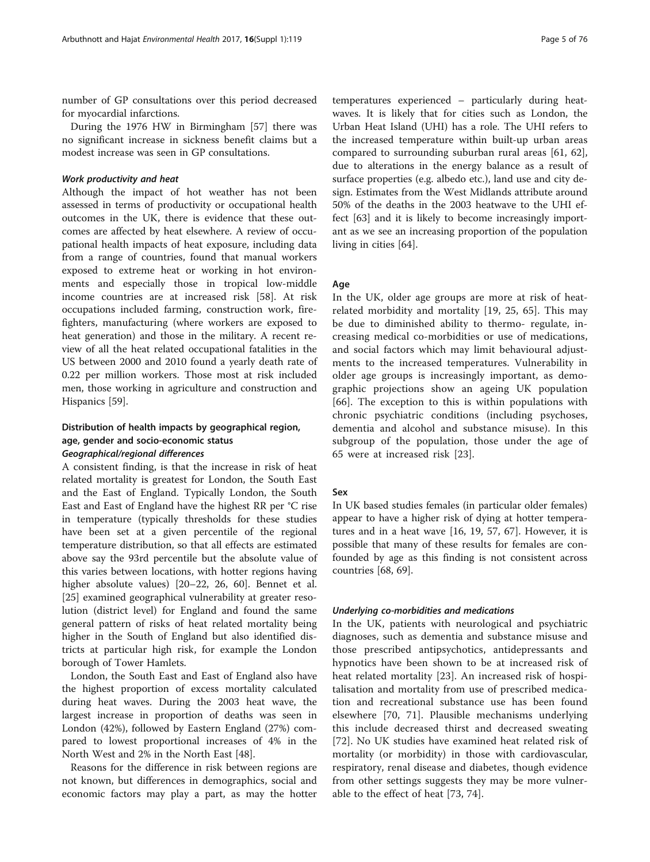number of GP consultations over this period decreased for myocardial infarctions.

During the 1976 HW in Birmingham [\[57](#page-10-0)] there was no significant increase in sickness benefit claims but a modest increase was seen in GP consultations.

# Work productivity and heat

Although the impact of hot weather has not been assessed in terms of productivity or occupational health outcomes in the UK, there is evidence that these outcomes are affected by heat elsewhere. A review of occupational health impacts of heat exposure, including data from a range of countries, found that manual workers exposed to extreme heat or working in hot environments and especially those in tropical low-middle income countries are at increased risk [\[58\]](#page-10-0). At risk occupations included farming, construction work, firefighters, manufacturing (where workers are exposed to heat generation) and those in the military. A recent review of all the heat related occupational fatalities in the US between 2000 and 2010 found a yearly death rate of 0.22 per million workers. Those most at risk included men, those working in agriculture and construction and Hispanics [[59](#page-10-0)].

# Distribution of health impacts by geographical region, age, gender and socio-economic status Geographical/regional differences

A consistent finding, is that the increase in risk of heat related mortality is greatest for London, the South East and the East of England. Typically London, the South East and East of England have the highest RR per °C rise in temperature (typically thresholds for these studies have been set at a given percentile of the regional temperature distribution, so that all effects are estimated above say the 93rd percentile but the absolute value of this varies between locations, with hotter regions having higher absolute values) [[20](#page-9-0)–[22](#page-9-0), [26, 60\]](#page-10-0). Bennet et al. [[25\]](#page-9-0) examined geographical vulnerability at greater resolution (district level) for England and found the same general pattern of risks of heat related mortality being higher in the South of England but also identified districts at particular high risk, for example the London borough of Tower Hamlets.

London, the South East and East of England also have the highest proportion of excess mortality calculated during heat waves. During the 2003 heat wave, the largest increase in proportion of deaths was seen in London (42%), followed by Eastern England (27%) compared to lowest proportional increases of 4% in the North West and 2% in the North East [[48\]](#page-10-0).

Reasons for the difference in risk between regions are not known, but differences in demographics, social and economic factors may play a part, as may the hotter

temperatures experienced – particularly during heatwaves. It is likely that for cities such as London, the Urban Heat Island (UHI) has a role. The UHI refers to the increased temperature within built-up urban areas compared to surrounding suburban rural areas [[61, 62](#page-10-0)], due to alterations in the energy balance as a result of surface properties (e.g. albedo etc.), land use and city design. Estimates from the West Midlands attribute around 50% of the deaths in the 2003 heatwave to the UHI effect [[63](#page-10-0)] and it is likely to become increasingly important as we see an increasing proportion of the population living in cities [[64\]](#page-10-0).

# Age

In the UK, older age groups are more at risk of heatrelated morbidity and mortality [[19, 25](#page-9-0), [65](#page-10-0)]. This may be due to diminished ability to thermo- regulate, increasing medical co-morbidities or use of medications, and social factors which may limit behavioural adjustments to the increased temperatures. Vulnerability in older age groups is increasingly important, as demographic projections show an ageing UK population [[66\]](#page-10-0). The exception to this is within populations with chronic psychiatric conditions (including psychoses, dementia and alcohol and substance misuse). In this subgroup of the population, those under the age of 65 were at increased risk [\[23](#page-9-0)].

# Sex

In UK based studies females (in particular older females) appear to have a higher risk of dying at hotter temperatures and in a heat wave [\[16](#page-9-0), [19,](#page-9-0) [57](#page-10-0), [67](#page-10-0)]. However, it is possible that many of these results for females are confounded by age as this finding is not consistent across countries [[68](#page-10-0), [69](#page-10-0)].

### Underlying co-morbidities and medications

In the UK, patients with neurological and psychiatric diagnoses, such as dementia and substance misuse and those prescribed antipsychotics, antidepressants and hypnotics have been shown to be at increased risk of heat related mortality [\[23](#page-9-0)]. An increased risk of hospitalisation and mortality from use of prescribed medication and recreational substance use has been found elsewhere [\[70](#page-11-0), [71\]](#page-11-0). Plausible mechanisms underlying this include decreased thirst and decreased sweating [[72\]](#page-11-0). No UK studies have examined heat related risk of mortality (or morbidity) in those with cardiovascular, respiratory, renal disease and diabetes, though evidence from other settings suggests they may be more vulnerable to the effect of heat [[73, 74\]](#page-11-0).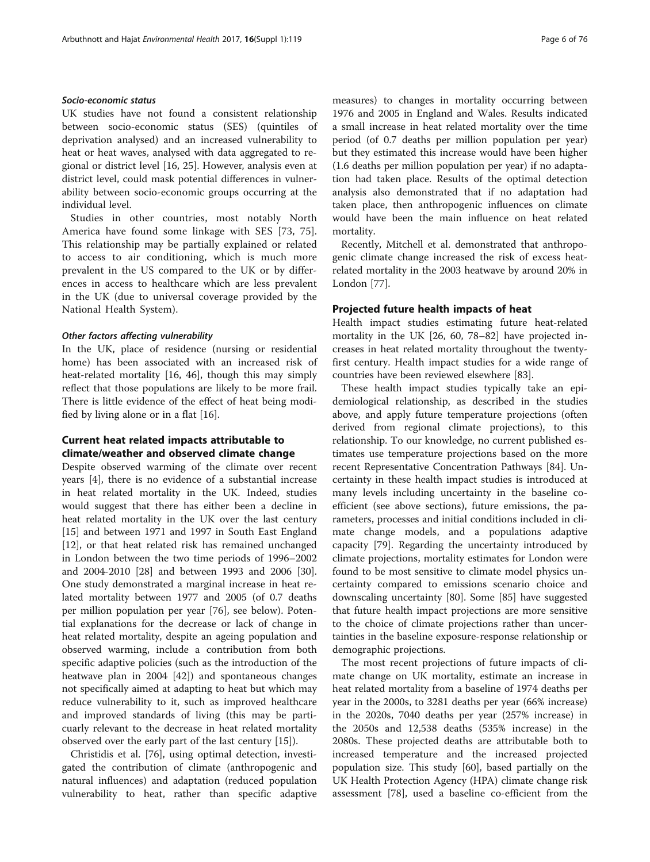# Socio-economic status

UK studies have not found a consistent relationship between socio-economic status (SES) (quintiles of deprivation analysed) and an increased vulnerability to heat or heat waves, analysed with data aggregated to regional or district level [[16](#page-9-0), [25](#page-9-0)]. However, analysis even at district level, could mask potential differences in vulnerability between socio-economic groups occurring at the individual level.

Studies in other countries, most notably North America have found some linkage with SES [[73](#page-11-0), [75](#page-11-0)]. This relationship may be partially explained or related to access to air conditioning, which is much more prevalent in the US compared to the UK or by differences in access to healthcare which are less prevalent in the UK (due to universal coverage provided by the National Health System).

# Other factors affecting vulnerability

In the UK, place of residence (nursing or residential home) has been associated with an increased risk of heat-related mortality [\[16](#page-9-0), [46](#page-10-0)], though this may simply reflect that those populations are likely to be more frail. There is little evidence of the effect of heat being modified by living alone or in a flat [\[16](#page-9-0)].

# Current heat related impacts attributable to climate/weather and observed climate change

Despite observed warming of the climate over recent years [[4\]](#page-9-0), there is no evidence of a substantial increase in heat related mortality in the UK. Indeed, studies would suggest that there has either been a decline in heat related mortality in the UK over the last century [[15\]](#page-9-0) and between 1971 and 1997 in South East England [[12\]](#page-9-0), or that heat related risk has remained unchanged in London between the two time periods of 1996–2002 and 2004-2010 [\[28](#page-10-0)] and between 1993 and 2006 [\[30](#page-10-0)]. One study demonstrated a marginal increase in heat related mortality between 1977 and 2005 (of 0.7 deaths per million population per year [\[76\]](#page-11-0), see below). Potential explanations for the decrease or lack of change in heat related mortality, despite an ageing population and observed warming, include a contribution from both specific adaptive policies (such as the introduction of the heatwave plan in 2004 [\[42](#page-10-0)]) and spontaneous changes not specifically aimed at adapting to heat but which may reduce vulnerability to it, such as improved healthcare and improved standards of living (this may be particuarly relevant to the decrease in heat related mortality observed over the early part of the last century [[15\]](#page-9-0)).

Christidis et al. [\[76\]](#page-11-0), using optimal detection, investigated the contribution of climate (anthropogenic and natural influences) and adaptation (reduced population vulnerability to heat, rather than specific adaptive

measures) to changes in mortality occurring between 1976 and 2005 in England and Wales. Results indicated a small increase in heat related mortality over the time period (of 0.7 deaths per million population per year) but they estimated this increase would have been higher (1.6 deaths per million population per year) if no adaptation had taken place. Results of the optimal detection analysis also demonstrated that if no adaptation had taken place, then anthropogenic influences on climate would have been the main influence on heat related mortality.

Recently, Mitchell et al. demonstrated that anthropogenic climate change increased the risk of excess heatrelated mortality in the 2003 heatwave by around 20% in London [[77](#page-11-0)].

# Projected future health impacts of heat

Health impact studies estimating future heat-related mortality in the UK [[26](#page-10-0), [60,](#page-10-0) [78](#page-11-0)–[82\]](#page-11-0) have projected increases in heat related mortality throughout the twentyfirst century. Health impact studies for a wide range of countries have been reviewed elsewhere [\[83](#page-11-0)].

These health impact studies typically take an epidemiological relationship, as described in the studies above, and apply future temperature projections (often derived from regional climate projections), to this relationship. To our knowledge, no current published estimates use temperature projections based on the more recent Representative Concentration Pathways [[84\]](#page-11-0). Uncertainty in these health impact studies is introduced at many levels including uncertainty in the baseline coefficient (see above sections), future emissions, the parameters, processes and initial conditions included in climate change models, and a populations adaptive capacity [[79](#page-11-0)]. Regarding the uncertainty introduced by climate projections, mortality estimates for London were found to be most sensitive to climate model physics uncertainty compared to emissions scenario choice and downscaling uncertainty [[80\]](#page-11-0). Some [\[85](#page-11-0)] have suggested that future health impact projections are more sensitive to the choice of climate projections rather than uncertainties in the baseline exposure-response relationship or demographic projections.

The most recent projections of future impacts of climate change on UK mortality, estimate an increase in heat related mortality from a baseline of 1974 deaths per year in the 2000s, to 3281 deaths per year (66% increase) in the 2020s, 7040 deaths per year (257% increase) in the 2050s and 12,538 deaths (535% increase) in the 2080s. These projected deaths are attributable both to increased temperature and the increased projected population size. This study [[60](#page-10-0)], based partially on the UK Health Protection Agency (HPA) climate change risk assessment [\[78](#page-11-0)], used a baseline co-efficient from the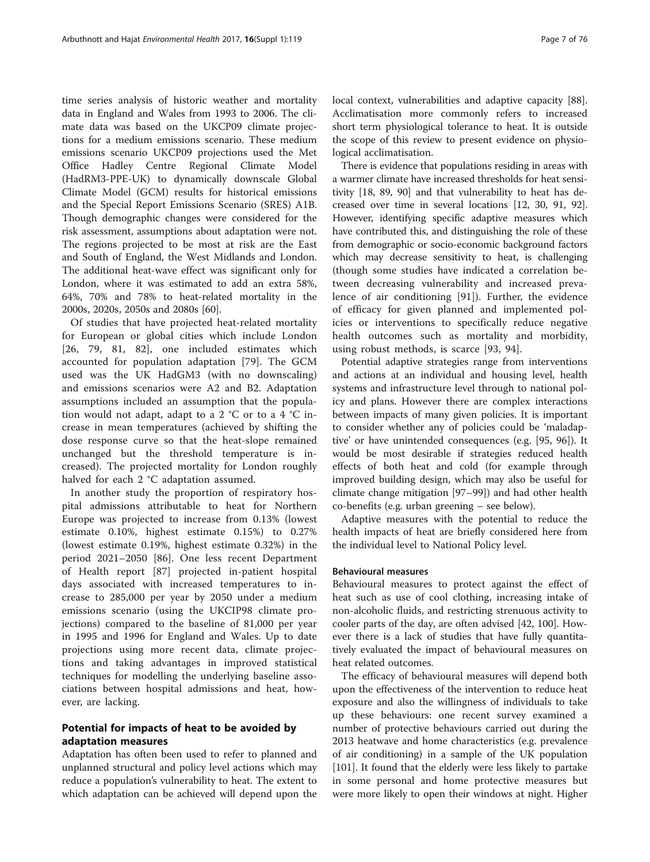time series analysis of historic weather and mortality data in England and Wales from 1993 to 2006. The climate data was based on the UKCP09 climate projections for a medium emissions scenario. These medium emissions scenario UKCP09 projections used the Met Office Hadley Centre Regional Climate Model (HadRM3-PPE-UK) to dynamically downscale Global Climate Model (GCM) results for historical emissions and the Special Report Emissions Scenario (SRES) A1B. Though demographic changes were considered for the risk assessment, assumptions about adaptation were not. The regions projected to be most at risk are the East and South of England, the West Midlands and London. The additional heat-wave effect was significant only for London, where it was estimated to add an extra 58%, 64%, 70% and 78% to heat-related mortality in the 2000s, 2020s, 2050s and 2080s [[60\]](#page-10-0).

Of studies that have projected heat-related mortality for European or global cities which include London [[26,](#page-10-0) [79](#page-11-0), [81, 82](#page-11-0)], one included estimates which accounted for population adaptation [[79\]](#page-11-0). The GCM used was the UK HadGM3 (with no downscaling) and emissions scenarios were A2 and B2. Adaptation assumptions included an assumption that the population would not adapt, adapt to a 2 °C or to a 4 °C increase in mean temperatures (achieved by shifting the dose response curve so that the heat-slope remained unchanged but the threshold temperature is increased). The projected mortality for London roughly halved for each 2 °C adaptation assumed.

In another study the proportion of respiratory hospital admissions attributable to heat for Northern Europe was projected to increase from 0.13% (lowest estimate 0.10%, highest estimate 0.15%) to 0.27% (lowest estimate 0.19%, highest estimate 0.32%) in the period 2021–2050 [[86\]](#page-11-0). One less recent Department of Health report [\[87](#page-11-0)] projected in-patient hospital days associated with increased temperatures to increase to 285,000 per year by 2050 under a medium emissions scenario (using the UKCIP98 climate projections) compared to the baseline of 81,000 per year in 1995 and 1996 for England and Wales. Up to date projections using more recent data, climate projections and taking advantages in improved statistical techniques for modelling the underlying baseline associations between hospital admissions and heat, however, are lacking.

# Potential for impacts of heat to be avoided by adaptation measures

Adaptation has often been used to refer to planned and unplanned structural and policy level actions which may reduce a population's vulnerability to heat. The extent to which adaptation can be achieved will depend upon the local context, vulnerabilities and adaptive capacity [\[88](#page-11-0)]. Acclimatisation more commonly refers to increased short term physiological tolerance to heat. It is outside the scope of this review to present evidence on physiological acclimatisation.

There is evidence that populations residing in areas with a warmer climate have increased thresholds for heat sensitivity [\[18,](#page-9-0) [89, 90\]](#page-11-0) and that vulnerability to heat has decreased over time in several locations [[12](#page-9-0), [30,](#page-10-0) [91, 92](#page-11-0)]. However, identifying specific adaptive measures which have contributed this, and distinguishing the role of these from demographic or socio-economic background factors which may decrease sensitivity to heat, is challenging (though some studies have indicated a correlation between decreasing vulnerability and increased prevalence of air conditioning [\[91](#page-11-0)]). Further, the evidence of efficacy for given planned and implemented policies or interventions to specifically reduce negative health outcomes such as mortality and morbidity, using robust methods, is scarce [[93, 94](#page-11-0)].

Potential adaptive strategies range from interventions and actions at an individual and housing level, health systems and infrastructure level through to national policy and plans. However there are complex interactions between impacts of many given policies. It is important to consider whether any of policies could be 'maladaptive' or have unintended consequences (e.g. [\[95, 96\]](#page-11-0)). It would be most desirable if strategies reduced health effects of both heat and cold (for example through improved building design, which may also be useful for climate change mitigation [\[97](#page-11-0)–[99\]](#page-11-0)) and had other health co-benefits (e.g. urban greening – see below).

Adaptive measures with the potential to reduce the health impacts of heat are briefly considered here from the individual level to National Policy level.

# Behavioural measures

Behavioural measures to protect against the effect of heat such as use of cool clothing, increasing intake of non-alcoholic fluids, and restricting strenuous activity to cooler parts of the day, are often advised [[42](#page-10-0), [100](#page-11-0)]. However there is a lack of studies that have fully quantitatively evaluated the impact of behavioural measures on heat related outcomes.

The efficacy of behavioural measures will depend both upon the effectiveness of the intervention to reduce heat exposure and also the willingness of individuals to take up these behaviours: one recent survey examined a number of protective behaviours carried out during the 2013 heatwave and home characteristics (e.g. prevalence of air conditioning) in a sample of the UK population [[101\]](#page-11-0). It found that the elderly were less likely to partake in some personal and home protective measures but were more likely to open their windows at night. Higher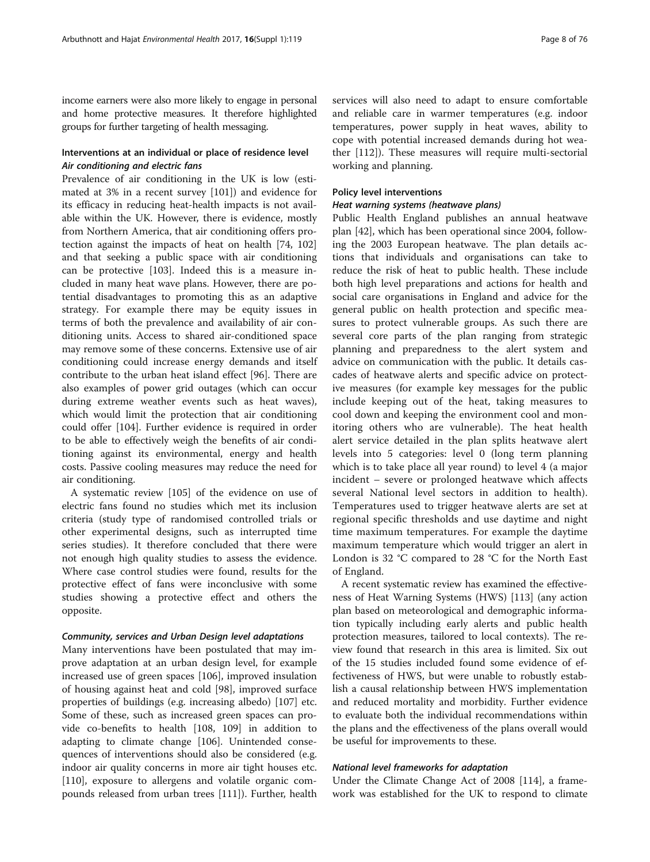income earners were also more likely to engage in personal and home protective measures. It therefore highlighted groups for further targeting of health messaging.

# Interventions at an individual or place of residence level Air conditioning and electric fans

Prevalence of air conditioning in the UK is low (estimated at 3% in a recent survey [[101\]](#page-11-0)) and evidence for its efficacy in reducing heat-health impacts is not available within the UK. However, there is evidence, mostly from Northern America, that air conditioning offers protection against the impacts of heat on health [\[74](#page-11-0), [102](#page-11-0)] and that seeking a public space with air conditioning can be protective [[103\]](#page-11-0). Indeed this is a measure included in many heat wave plans. However, there are potential disadvantages to promoting this as an adaptive strategy. For example there may be equity issues in terms of both the prevalence and availability of air conditioning units. Access to shared air-conditioned space may remove some of these concerns. Extensive use of air conditioning could increase energy demands and itself contribute to the urban heat island effect [\[96](#page-11-0)]. There are also examples of power grid outages (which can occur during extreme weather events such as heat waves), which would limit the protection that air conditioning could offer [\[104](#page-11-0)]. Further evidence is required in order to be able to effectively weigh the benefits of air conditioning against its environmental, energy and health costs. Passive cooling measures may reduce the need for air conditioning.

A systematic review [\[105\]](#page-11-0) of the evidence on use of electric fans found no studies which met its inclusion criteria (study type of randomised controlled trials or other experimental designs, such as interrupted time series studies). It therefore concluded that there were not enough high quality studies to assess the evidence. Where case control studies were found, results for the protective effect of fans were inconclusive with some studies showing a protective effect and others the opposite.

# Community, services and Urban Design level adaptations

Many interventions have been postulated that may improve adaptation at an urban design level, for example increased use of green spaces [[106\]](#page-11-0), improved insulation of housing against heat and cold [\[98](#page-11-0)], improved surface properties of buildings (e.g. increasing albedo) [\[107\]](#page-11-0) etc. Some of these, such as increased green spaces can provide co-benefits to health [\[108](#page-11-0), [109](#page-11-0)] in addition to adapting to climate change [\[106\]](#page-11-0). Unintended consequences of interventions should also be considered (e.g. indoor air quality concerns in more air tight houses etc. [[110\]](#page-11-0), exposure to allergens and volatile organic compounds released from urban trees [\[111\]](#page-11-0)). Further, health services will also need to adapt to ensure comfortable and reliable care in warmer temperatures (e.g. indoor temperatures, power supply in heat waves, ability to cope with potential increased demands during hot weather [[112](#page-12-0)]). These measures will require multi-sectorial working and planning.

# Policy level interventions

# Heat warning systems (heatwave plans)

Public Health England publishes an annual heatwave plan [\[42](#page-10-0)], which has been operational since 2004, following the 2003 European heatwave. The plan details actions that individuals and organisations can take to reduce the risk of heat to public health. These include both high level preparations and actions for health and social care organisations in England and advice for the general public on health protection and specific measures to protect vulnerable groups. As such there are several core parts of the plan ranging from strategic planning and preparedness to the alert system and advice on communication with the public. It details cascades of heatwave alerts and specific advice on protective measures (for example key messages for the public include keeping out of the heat, taking measures to cool down and keeping the environment cool and monitoring others who are vulnerable). The heat health alert service detailed in the plan splits heatwave alert levels into 5 categories: level 0 (long term planning which is to take place all year round) to level 4 (a major incident – severe or prolonged heatwave which affects several National level sectors in addition to health). Temperatures used to trigger heatwave alerts are set at regional specific thresholds and use daytime and night time maximum temperatures. For example the daytime maximum temperature which would trigger an alert in London is 32 °C compared to 28 °C for the North East of England.

A recent systematic review has examined the effectiveness of Heat Warning Systems (HWS) [\[113\]](#page-12-0) (any action plan based on meteorological and demographic information typically including early alerts and public health protection measures, tailored to local contexts). The review found that research in this area is limited. Six out of the 15 studies included found some evidence of effectiveness of HWS, but were unable to robustly establish a causal relationship between HWS implementation and reduced mortality and morbidity. Further evidence to evaluate both the individual recommendations within the plans and the effectiveness of the plans overall would be useful for improvements to these.

# National level frameworks for adaptation

Under the Climate Change Act of 2008 [\[114\]](#page-12-0), a framework was established for the UK to respond to climate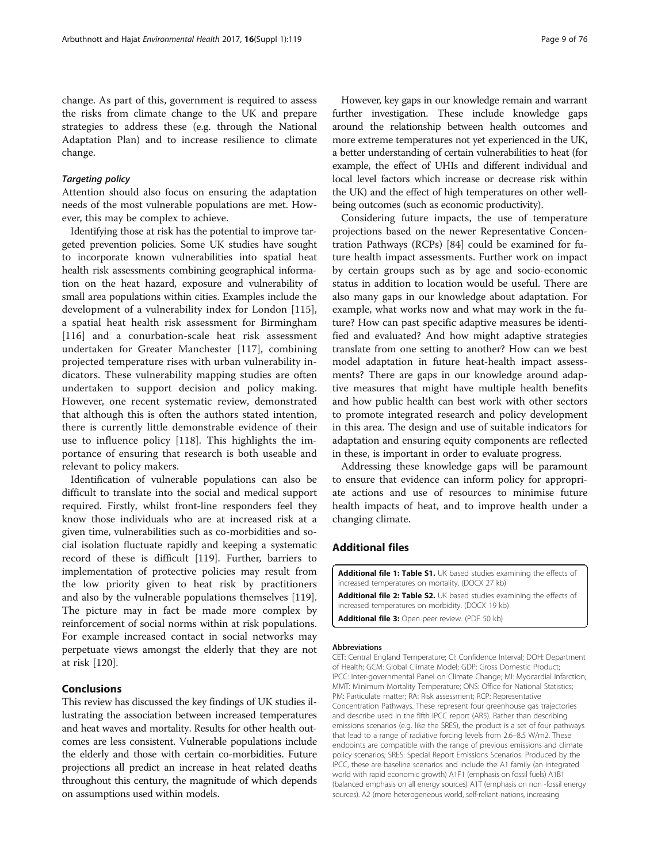<span id="page-8-0"></span>change. As part of this, government is required to assess the risks from climate change to the UK and prepare strategies to address these (e.g. through the National Adaptation Plan) and to increase resilience to climate change.

# Targeting policy

Attention should also focus on ensuring the adaptation needs of the most vulnerable populations are met. However, this may be complex to achieve.

Identifying those at risk has the potential to improve targeted prevention policies. Some UK studies have sought to incorporate known vulnerabilities into spatial heat health risk assessments combining geographical information on the heat hazard, exposure and vulnerability of small area populations within cities. Examples include the development of a vulnerability index for London [\[115](#page-12-0)], a spatial heat health risk assessment for Birmingham [[116\]](#page-12-0) and a conurbation-scale heat risk assessment undertaken for Greater Manchester [[117\]](#page-12-0), combining projected temperature rises with urban vulnerability indicators. These vulnerability mapping studies are often undertaken to support decision and policy making. However, one recent systematic review, demonstrated that although this is often the authors stated intention, there is currently little demonstrable evidence of their use to influence policy [[118](#page-12-0)]. This highlights the importance of ensuring that research is both useable and relevant to policy makers.

Identification of vulnerable populations can also be difficult to translate into the social and medical support required. Firstly, whilst front-line responders feel they know those individuals who are at increased risk at a given time, vulnerabilities such as co-morbidities and social isolation fluctuate rapidly and keeping a systematic record of these is difficult [[119](#page-12-0)]. Further, barriers to implementation of protective policies may result from the low priority given to heat risk by practitioners and also by the vulnerable populations themselves [\[119](#page-12-0)]. The picture may in fact be made more complex by reinforcement of social norms within at risk populations. For example increased contact in social networks may perpetuate views amongst the elderly that they are not at risk [\[120\]](#page-12-0).

# Conclusions

This review has discussed the key findings of UK studies illustrating the association between increased temperatures and heat waves and mortality. Results for other health outcomes are less consistent. Vulnerable populations include the elderly and those with certain co-morbidities. Future projections all predict an increase in heat related deaths throughout this century, the magnitude of which depends on assumptions used within models.

However, key gaps in our knowledge remain and warrant further investigation. These include knowledge gaps around the relationship between health outcomes and more extreme temperatures not yet experienced in the UK, a better understanding of certain vulnerabilities to heat (for example, the effect of UHIs and different individual and local level factors which increase or decrease risk within the UK) and the effect of high temperatures on other wellbeing outcomes (such as economic productivity).

Considering future impacts, the use of temperature projections based on the newer Representative Concentration Pathways (RCPs) [\[84](#page-11-0)] could be examined for future health impact assessments. Further work on impact by certain groups such as by age and socio-economic status in addition to location would be useful. There are also many gaps in our knowledge about adaptation. For example, what works now and what may work in the future? How can past specific adaptive measures be identified and evaluated? And how might adaptive strategies translate from one setting to another? How can we best model adaptation in future heat-health impact assessments? There are gaps in our knowledge around adaptive measures that might have multiple health benefits and how public health can best work with other sectors to promote integrated research and policy development in this area. The design and use of suitable indicators for adaptation and ensuring equity components are reflected in these, is important in order to evaluate progress.

Addressing these knowledge gaps will be paramount to ensure that evidence can inform policy for appropriate actions and use of resources to minimise future health impacts of heat, and to improve health under a changing climate.

# Additional files

[Additional file 1: Table S1.](dx.doi.org/10.1186/s12940-017-0322-5) UK based studies examining the effects of increased temperatures on mortality. (DOCX 27 kb) [Additional file 2: Table S2.](dx.doi.org/10.1186/s12940-017-0322-5) UK based studies examining the effects of

increased temperatures on morbidity. (DOCX 19 kb)

[Additional file 3:](dx.doi.org/10.1186/s12940-017-0322-5) Open peer review. (PDF 50 kb)

#### Abbreviations

CET: Central England Temperature; CI: Confidence Interval; DOH: Department of Health; GCM: Global Climate Model; GDP: Gross Domestic Product; IPCC: Inter-governmental Panel on Climate Change; MI: Myocardial Infarction; MMT: Minimum Mortality Temperature; ONS: Office for National Statistics; PM: Particulate matter; RA: Risk assessment; RCP: Representative Concentration Pathways. These represent four greenhouse gas trajectories and describe used in the fifth IPCC report (AR5). Rather than describing emissions scenarios (e.g. like the SRES), the product is a set of four pathways that lead to a range of radiative forcing levels from 2.6–8.5 W/m2. These endpoints are compatible with the range of previous emissions and climate policy scenarios; SRES: Special Report Emissions Scenarios. Produced by the IPCC, these are baseline scenarios and include the A1 family (an integrated world with rapid economic growth) A1F1 (emphasis on fossil fuels) A1B1 (balanced emphasis on all energy sources) A1T (emphasis on non -fossil energy sources). A2 (more heterogeneous world, self-reliant nations, increasing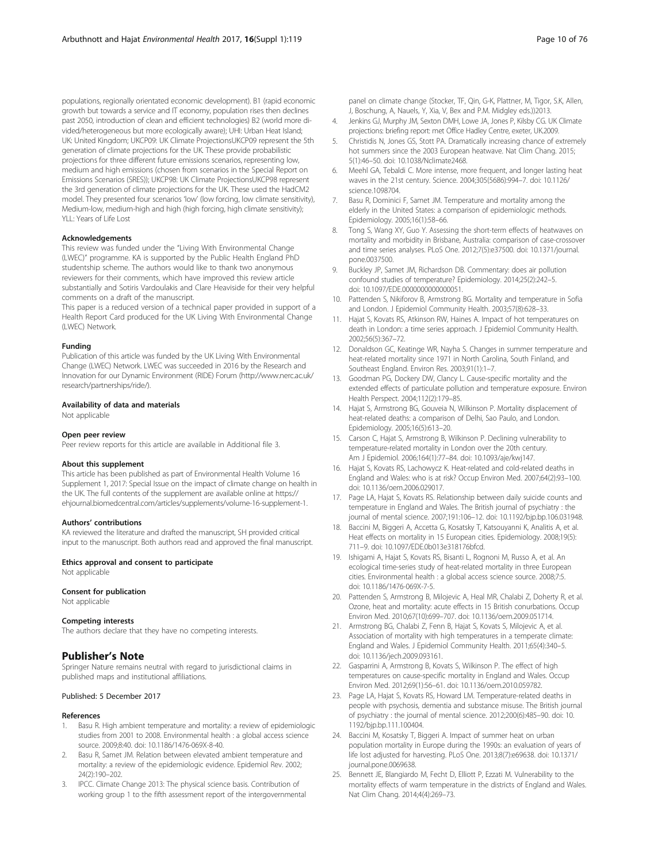<span id="page-9-0"></span>populations, regionally orientated economic development). B1 (rapid economic growth but towards a service and IT economy, population rises then declines past 2050, introduction of clean and efficient technologies) B2 (world more divided/heterogeneous but more ecologically aware); UHI: Urban Heat Island; UK: United Kingdom; UKCP09: UK Climate ProjectionsUKCP09 represent the 5th generation of climate projections for the UK. These provide probabilistic projections for three different future emissions scenarios, representing low, medium and high emissions (chosen from scenarios in the Special Report on Emissions Scenarios (SRES)); UKCP98: UK Climate ProjectionsUKCP98 represent the 3rd generation of climate projections for the UK. These used the HadCM2 model. They presented four scenarios 'low' (low forcing, low climate sensitivity), Medium-low, medium-high and high (high forcing, high climate sensitivity); YLL: Years of Life Lost

# Acknowledgements

This review was funded under the "Living With Environmental Change (LWEC)" programme. KA is supported by the Public Health England PhD studentship scheme. The authors would like to thank two anonymous reviewers for their comments, which have improved this review article substantially and Sotiris Vardoulakis and Clare Heaviside for their very helpful comments on a draft of the manuscript.

This paper is a reduced version of a technical paper provided in support of a Health Report Card produced for the UK Living With Environmental Change (LWEC) Network.

#### Funding

Publication of this article was funded by the UK Living With Environmental Change (LWEC) Network. LWEC was succeeded in 2016 by the Research and Innovation for our Dynamic Environment (RIDE) Forum [\(http://www.nerc.ac.uk/](http://www.nerc.ac.uk/research/partnerships/ride/)) [research/partnerships/ride/\)](http://www.nerc.ac.uk/research/partnerships/ride/)).

#### Availability of data and materials

Not applicable

#### Open peer review

Peer review reports for this article are available in Additional file [3](#page-8-0).

#### About this supplement

This article has been published as part of Environmental Health Volume 16 Supplement 1, 2017: Special Issue on the impact of climate change on health in the UK. The full contents of the supplement are available online at [https://](https://ehjournal.biomedcentral.com/articles/supplements/volume-16-supplement-1) [ehjournal.biomedcentral.com/articles/supplements/volume-16-supplement-1.](https://ehjournal.biomedcentral.com/articles/supplements/volume-16-supplement-1)

#### Authors' contributions

KA reviewed the literature and drafted the manuscript, SH provided critical input to the manuscript. Both authors read and approved the final manuscript.

#### Ethics approval and consent to participate Not applicable

#### Consent for publication

Not applicable

#### Competing interests

The authors declare that they have no competing interests.

# Publisher's Note

Springer Nature remains neutral with regard to jurisdictional claims in published maps and institutional affiliations.

#### Published: 5 December 2017

#### References

- 1. Basu R. High ambient temperature and mortality: a review of epidemiologic studies from 2001 to 2008. Environmental health : a global access science source. 2009;8:40. doi: [10.1186/1476-069X-8-40.](http://dx.doi.org/10.1186/1476-069X-8-40.)
- 2. Basu R, Samet JM. Relation between elevated ambient temperature and mortality: a review of the epidemiologic evidence. Epidemiol Rev. 2002; 24(2):190–202.
- 3. IPCC. Climate Change 2013: The physical science basis. Contribution of working group 1 to the fifth assessment report of the intergovernmental

panel on climate change (Stocker, TF, Qin, G-K, Plattner, M, Tigor, S.K, Allen, J, Boschung, A, Nauels, Y, Xia, V, Bex and P.M. Midgley eds.))2013.

- 4. Jenkins GJ, Murphy JM, Sexton DMH, Lowe JA, Jones P, Kilsby CG. UK Climate projections: briefing report: met Office Hadley Centre, exeter, UK.2009.
- 5. Christidis N, Jones GS, Stott PA. Dramatically increasing chance of extremely hot summers since the 2003 European heatwave. Nat Clim Chang. 2015; 5(1):46–50. doi: [10.1038/Nclimate2468.](http://dx.doi.org/10.1038/Nclimate2468.)
- 6. Meehl GA, Tebaldi C. More intense, more frequent, and longer lasting heat waves in the 21st century. Science. 2004;305(5686):994–7. doi: [10.1126/](http://dx.doi.org/10.1126/science.1098704) [science.1098704.](http://dx.doi.org/10.1126/science.1098704)
- 7. Basu R, Dominici F, Samet JM. Temperature and mortality among the elderly in the United States: a comparison of epidemiologic methods. Epidemiology. 2005;16(1):58–66.
- 8. Tong S, Wang XY, Guo Y. Assessing the short-term effects of heatwaves on mortality and morbidity in Brisbane, Australia: comparison of case-crossover and time series analyses. PLoS One. 2012;7(5):e37500. doi: [10.1371/journal.](http://dx.doi.org/10.1371/journal.pone.0037500) [pone.0037500.](http://dx.doi.org/10.1371/journal.pone.0037500)
- 9. Buckley JP, Samet JM, Richardson DB. Commentary: does air pollution confound studies of temperature? Epidemiology. 2014;25(2):242–5. doi: [10.1097/EDE.0000000000000051](http://dx.doi.org/10.1097/EDE.0000000000000051).
- 10. Pattenden S, Nikiforov B, Armstrong BG. Mortality and temperature in Sofia and London. J Epidemiol Community Health. 2003;57(8):628–33.
- 11. Hajat S, Kovats RS, Atkinson RW, Haines A. Impact of hot temperatures on death in London: a time series approach. J Epidemiol Community Health. 2002;56(5):367–72.
- 12. Donaldson GC, Keatinge WR, Nayha S. Changes in summer temperature and heat-related mortality since 1971 in North Carolina, South Finland, and Southeast England. Environ Res. 2003;91(1):1–7.
- 13. Goodman PG, Dockery DW, Clancy L. Cause-specific mortality and the extended effects of particulate pollution and temperature exposure. Environ Health Perspect. 2004;112(2):179–85.
- 14. Hajat S, Armstrong BG, Gouveia N, Wilkinson P. Mortality displacement of heat-related deaths: a comparison of Delhi, Sao Paulo, and London. Epidemiology. 2005;16(5):613–20.
- 15. Carson C, Hajat S, Armstrong B, Wilkinson P. Declining vulnerability to temperature-related mortality in London over the 20th century. Am J Epidemiol. 2006;164(1):77–84. doi: [10.1093/aje/kwj147.](http://dx.doi.org/10.1093/aje/kwj147)
- 16. Hajat S, Kovats RS, Lachowycz K. Heat-related and cold-related deaths in England and Wales: who is at risk? Occup Environ Med. 2007;64(2):93–100. doi: [10.1136/oem.2006.029017.](http://dx.doi.org/10.1136/oem.2006.029017.)
- 17. Page LA, Hajat S, Kovats RS. Relationship between daily suicide counts and temperature in England and Wales. The British journal of psychiatry : the journal of mental science. 2007;191:106–12. doi: [10.1192/bjp.bp.106.031948.](http://dx.doi.org/10.1192/bjp.bp.106.031948.)
- 18. Baccini M, Biggeri A, Accetta G, Kosatsky T, Katsouyanni K, Analitis A, et al. Heat effects on mortality in 15 European cities. Epidemiology. 2008;19(5): 711–9. doi: [10.1097/EDE.0b013e318176bfcd](http://dx.doi.org/10.1097/EDE.0b013e318176bfcd).
- 19. Ishigami A, Hajat S, Kovats RS, Bisanti L, Rognoni M, Russo A, et al. An ecological time-series study of heat-related mortality in three European cities. Environmental health : a global access science source. 2008;7:5. doi: [10.1186/1476-069X-7-5.](http://dx.doi.org/10.1186/1476-069X-7-5.)
- 20. Pattenden S, Armstrong B, Milojevic A, Heal MR, Chalabi Z, Doherty R, et al. Ozone, heat and mortality: acute effects in 15 British conurbations. Occup Environ Med. 2010;67(10):699–707. doi: [10.1136/oem.2009.051714](http://dx.doi.org/10.1136/oem.2009.051714).
- 21. Armstrong BG, Chalabi Z, Fenn B, Hajat S, Kovats S, Milojevic A, et al. Association of mortality with high temperatures in a temperate climate: England and Wales. J Epidemiol Community Health. 2011;65(4):340–5. doi: [10.1136/jech.2009.093161.](http://dx.doi.org/10.1136/jech.2009.093161)
- 22. Gasparrini A, Armstrong B, Kovats S, Wilkinson P. The effect of high temperatures on cause-specific mortality in England and Wales. Occup Environ Med. 2012;69(1):56–61. doi: [10.1136/oem.2010.059782.](http://dx.doi.org/10.1136/oem.2010.059782)
- 23. Page LA, Hajat S, Kovats RS, Howard LM. Temperature-related deaths in people with psychosis, dementia and substance misuse. The British journal of psychiatry : the journal of mental science. 2012;200(6):485–90. doi: [10.](http://dx.doi.org/10.1192/bjp.bp.111.100404.) [1192/bjp.bp.111.100404.](http://dx.doi.org/10.1192/bjp.bp.111.100404.)
- 24. Baccini M, Kosatsky T, Biggeri A. Impact of summer heat on urban population mortality in Europe during the 1990s: an evaluation of years of life lost adjusted for harvesting. PLoS One. 2013;8(7):e69638. doi: [10.1371/](http://dx.doi.org/10.1371/journal.pone.0069638) [journal.pone.0069638](http://dx.doi.org/10.1371/journal.pone.0069638).
- 25. Bennett JE, Blangiardo M, Fecht D, Elliott P, Ezzati M. Vulnerability to the mortality effects of warm temperature in the districts of England and Wales. Nat Clim Chang. 2014;4(4):269–73.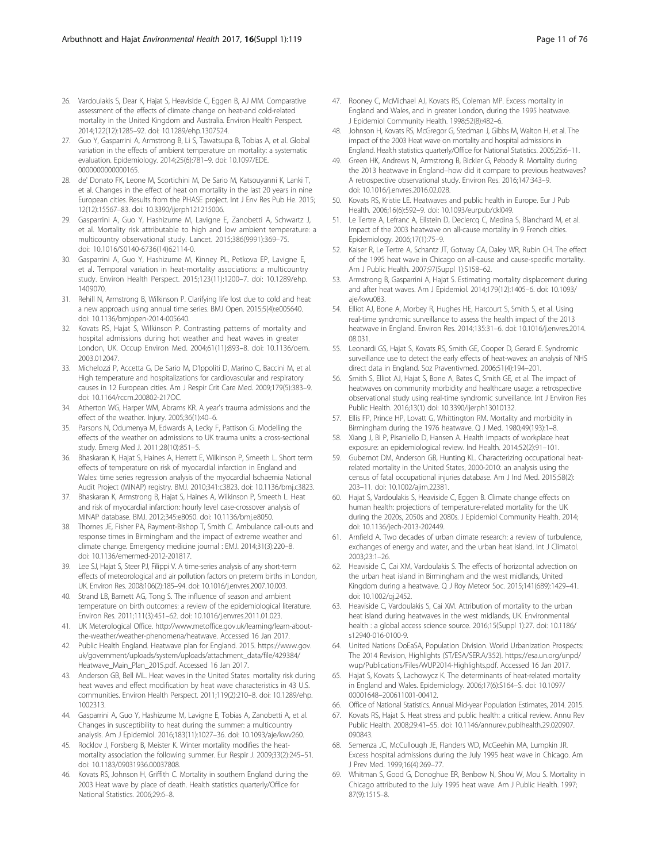- <span id="page-10-0"></span>26. Vardoulakis S, Dear K, Hajat S, Heaviside C, Eggen B, AJ MM. Comparative assessment of the effects of climate change on heat-and cold-related mortality in the United Kingdom and Australia. Environ Health Perspect. 2014;122(12):1285–92. doi: [10.1289/ehp.1307524.](http://dx.doi.org/10.1289/ehp.1307524.)
- 27. Guo Y, Gasparrini A, Armstrong B, Li S, Tawatsupa B, Tobias A, et al. Global variation in the effects of ambient temperature on mortality: a systematic evaluation. Epidemiology. 2014;25(6):781–9. doi: [10.1097/EDE.](http://dx.doi.org/10.1097/EDE.0000000000000165) [0000000000000165](http://dx.doi.org/10.1097/EDE.0000000000000165).
- 28. de' Donato FK, Leone M, Scortichini M, De Sario M, Katsouyanni K, Lanki T, et al. Changes in the effect of heat on mortality in the last 20 years in nine European cities. Results from the PHASE project. Int J Env Res Pub He. 2015; 12(12):15567–83. doi: [10.3390/ijerph121215006](http://dx.doi.org/10.3390/ijerph121215006).
- 29. Gasparrini A, Guo Y, Hashizume M, Lavigne E, Zanobetti A, Schwartz J, et al. Mortality risk attributable to high and low ambient temperature: a multicountry observational study. Lancet. 2015;386(9991):369–75. doi: [10.1016/S0140-6736\(14\)62114-0.](http://dx.doi.org/10.1016/S0140-6736(14)62114-0)
- 30. Gasparrini A, Guo Y, Hashizume M, Kinney PL, Petkova EP, Lavigne E, et al. Temporal variation in heat-mortality associations: a multicountry study. Environ Health Perspect. 2015;123(11):1200–7. doi: [10.1289/ehp.](http://dx.doi.org/10.1289/ehp.1409070.) [1409070.](http://dx.doi.org/10.1289/ehp.1409070.)
- 31. Rehill N, Armstrong B, Wilkinson P. Clarifying life lost due to cold and heat: a new approach using annual time series. BMJ Open. 2015;5(4):e005640. doi: [10.1136/bmjopen-2014-005640.](http://dx.doi.org/10.1136/bmjopen-2014-005640)
- 32. Kovats RS, Hajat S, Wilkinson P. Contrasting patterns of mortality and hospital admissions during hot weather and heat waves in greater London, UK. Occup Environ Med. 2004;61(11):893–8. doi: [10.1136/oem.](http://dx.doi.org/10.1136/oem.2003.012047) [2003.012047](http://dx.doi.org/10.1136/oem.2003.012047).
- 33. Michelozzi P, Accetta G, De Sario M, D'Ippoliti D, Marino C, Baccini M, et al. High temperature and hospitalizations for cardiovascular and respiratory causes in 12 European cities. Am J Respir Crit Care Med. 2009;179(5):383–9. doi: [10.1164/rccm.200802-217OC](http://dx.doi.org/10.1164/rccm.200802-217OC).
- 34. Atherton WG, Harper WM, Abrams KR. A year's trauma admissions and the effect of the weather. Injury. 2005;36(1):40–6.
- 35. Parsons N, Odumenya M, Edwards A, Lecky F, Pattison G. Modelling the effects of the weather on admissions to UK trauma units: a cross-sectional study. Emerg Med J. 2011;28(10):851–5.
- 36. Bhaskaran K, Hajat S, Haines A, Herrett E, Wilkinson P, Smeeth L. Short term effects of temperature on risk of myocardial infarction in England and Wales: time series regression analysis of the myocardial Ischaemia National Audit Project (MINAP) registry. BMJ. 2010;341:c3823. doi: [10.1136/bmj.c3823.](http://dx.doi.org/10.1136/bmj.c3823)
- 37. Bhaskaran K, Armstrong B, Hajat S, Haines A, Wilkinson P, Smeeth L. Heat and risk of myocardial infarction: hourly level case-crossover analysis of MINAP database. BMJ. 2012;345:e8050. doi: [10.1136/bmj.e8050](http://dx.doi.org/10.1136/bmj.e8050).
- 38. Thornes JE, Fisher PA, Rayment-Bishop T, Smith C. Ambulance call-outs and response times in Birmingham and the impact of extreme weather and climate change. Emergency medicine journal : EMJ. 2014;31(3):220–8. doi: [10.1136/emermed-2012-201817.](http://dx.doi.org/10.1136/emermed-2012-201817.)
- 39. Lee SJ, Hajat S, Steer PJ, Filippi V. A time-series analysis of any short-term effects of meteorological and air pollution factors on preterm births in London, UK. Environ Res. 2008;106(2):185–94. doi: [10.1016/j.envres.2007.10.003.](http://dx.doi.org/10.1016/j.envres.2007.10.003)
- 40. Strand LB, Barnett AG, Tong S. The influence of season and ambient temperature on birth outcomes: a review of the epidemiological literature. Environ Res. 2011;111(3):451–62. doi: [10.1016/j.envres.2011.01.023](http://dx.doi.org/10.1016/j.envres.2011.01.023).
- 41. UK Meterological Office. [http://www.metoffice.gov.uk/learning/learn-about](http://www.metoffice.gov.uk/learning/learn-about-the-weather/weather-phenomena/heatwave)[the-weather/weather-phenomena/heatwave.](http://www.metoffice.gov.uk/learning/learn-about-the-weather/weather-phenomena/heatwave) Accessed 16 Jan 2017.
- 42. Public Health England. Heatwave plan for England. 2015. [https://www.gov.](https://www.gov.uk/government/uploads/system/uploads/attachment_data/file/429384/Heatwave_Main_Plan_2015.pdf) [uk/government/uploads/system/uploads/attachment\\_data/file/429384/](https://www.gov.uk/government/uploads/system/uploads/attachment_data/file/429384/Heatwave_Main_Plan_2015.pdf) [Heatwave\\_Main\\_Plan\\_2015.pdf.](https://www.gov.uk/government/uploads/system/uploads/attachment_data/file/429384/Heatwave_Main_Plan_2015.pdf) Accessed 16 Jan 2017.
- 43. Anderson GB, Bell ML. Heat waves in the United States: mortality risk during heat waves and effect modification by heat wave characteristics in 43 U.S. communities. Environ Health Perspect. 2011;119(2):210–8. doi: [10.1289/ehp.](http://dx.doi.org/10.1289/ehp.1002313) [1002313.](http://dx.doi.org/10.1289/ehp.1002313)
- 44. Gasparrini A, Guo Y, Hashizume M, Lavigne E, Tobias A, Zanobetti A, et al. Changes in susceptibility to heat during the summer: a multicountry analysis. Am J Epidemiol. 2016;183(11):1027–36. doi: [10.1093/aje/kwv260.](http://dx.doi.org/10.1093/aje/kwv260)
- 45. Rocklov J, Forsberg B, Meister K. Winter mortality modifies the heatmortality association the following summer. Eur Respir J. 2009;33(2):245–51. doi: [10.1183/09031936.00037808](http://dx.doi.org/10.1183/09031936.00037808).
- 46. Kovats RS, Johnson H, Griffith C. Mortality in southern England during the 2003 Heat wave by place of death. Health statistics quarterly/Office for National Statistics. 2006;29:6–8.
- 47. Rooney C, McMichael AJ, Kovats RS, Coleman MP. Excess mortality in England and Wales, and in greater London, during the 1995 heatwave. J Epidemiol Community Health. 1998;52(8):482–6.
- 48. Johnson H, Kovats RS, McGregor G, Stedman J, Gibbs M, Walton H, et al. The impact of the 2003 Heat wave on mortality and hospital admissions in England. Health statistics quarterly/Office for National Statistics. 2005;25:6–11.
- 49. Green HK, Andrews N, Armstrong B, Bickler G, Pebody R. Mortality during the 2013 heatwave in England–how did it compare to previous heatwaves? A retrospective observational study. Environ Res. 2016;147:343–9. doi: [10.1016/j.envres.2016.02.028.](http://dx.doi.org/10.1016/j.envres.2016.02.028)
- 50. Kovats RS, Kristie LE. Heatwaves and public health in Europe. Eur J Pub Health. 2006;16(6):592–9. doi: [10.1093/eurpub/ckl049](http://dx.doi.org/10.1093/eurpub/ckl049).
- 51. Le Tertre A, Lefranc A, Eilstein D, Declercq C, Medina S, Blanchard M, et al. Impact of the 2003 heatwave on all-cause mortality in 9 French cities. Epidemiology. 2006;17(1):75–9.
- 52. Kaiser R, Le Tertre A, Schantz JT, Gotway CA, Daley WR, Rubin CH. The effect of the 1995 heat wave in Chicago on all-cause and cause-specific mortality. Am J Public Health. 2007;97(Suppl 1):S158–62.
- 53. Armstrong B, Gasparrini A, Hajat S. Estimating mortality displacement during and after heat waves. Am J Epidemiol. 2014;179(12):1405–6. doi: [10.1093/](http://dx.doi.org/10.1093/aje/kwu083) [aje/kwu083](http://dx.doi.org/10.1093/aje/kwu083).
- 54. Elliot AJ, Bone A, Morbey R, Hughes HE, Harcourt S, Smith S, et al. Using real-time syndromic surveillance to assess the health impact of the 2013 heatwave in England. Environ Res. 2014;135:31–6. doi: [10.1016/j.envres.2014.](http://dx.doi.org/10.1016/j.envres.2014.08.031) [08.031.](http://dx.doi.org/10.1016/j.envres.2014.08.031)
- 55. Leonardi GS, Hajat S, Kovats RS, Smith GE, Cooper D, Gerard E. Syndromic surveillance use to detect the early effects of heat-waves: an analysis of NHS direct data in England. Soz Praventivmed. 2006;51(4):194–201.
- Smith S, Elliot AJ, Hajat S, Bone A, Bates C, Smith GE, et al. The impact of heatwaves on community morbidity and healthcare usage: a retrospective observational study using real-time syndromic surveillance. Int J Environ Res Public Health. 2016;13(1) doi: [10.3390/ijerph13010132.](http://dx.doi.org/10.3390/ijerph13010132)
- 57. Ellis FP, Prince HP, Lovatt G, Whittington RM. Mortality and morbidity in Birmingham during the 1976 heatwave. Q J Med. 1980;49(193):1–8.
- 58. Xiang J, Bi P, Pisaniello D, Hansen A. Health impacts of workplace heat exposure: an epidemiological review. Ind Health. 2014;52(2):91–101.
- 59. Gubernot DM, Anderson GB, Hunting KL. Characterizing occupational heatrelated mortality in the United States, 2000-2010: an analysis using the census of fatal occupational injuries database. Am J Ind Med. 2015;58(2): 203–11. doi: [10.1002/ajim.22381](http://dx.doi.org/10.1002/ajim.22381).
- 60. Hajat S, Vardoulakis S, Heaviside C, Eggen B. Climate change effects on human health: projections of temperature-related mortality for the UK during the 2020s, 2050s and 2080s. J Epidemiol Community Health. 2014; doi: [10.1136/jech-2013-202449](http://dx.doi.org/10.1136/jech-2013-202449).
- 61. Arnfield A. Two decades of urban climate research: a review of turbulence, exchanges of energy and water, and the urban heat island. Int J Climatol. 2003;23:1–26.
- 62. Heaviside C, Cai XM, Vardoulakis S. The effects of horizontal advection on the urban heat island in Birmingham and the west midlands, United Kingdom during a heatwave. Q J Roy Meteor Soc. 2015;141(689):1429–41. doi: [10.1002/qj.2452](http://dx.doi.org/10.1002/qj.2452).
- 63. Heaviside C, Vardoulakis S, Cai XM. Attribution of mortality to the urban heat island during heatwaves in the west midlands, UK. Environmental health : a global access science source. 2016;15(Suppl 1):27. doi: [10.1186/](http://dx.doi.org/10.1186/s12940-016-0100-9.) [s12940-016-0100-9.](http://dx.doi.org/10.1186/s12940-016-0100-9.)
- 64. United Nations DoEaSA, Population Division. World Urbanization Prospects: The 2014 Revision, Highlights (ST/ESA/SER.A/352). [https://esa.un.org/unpd/](https://esa.un.org/unpd/wup/Publications/Files/WUP2014-Highlights.pdf) [wup/Publications/Files/WUP2014-Highlights.pdf](https://esa.un.org/unpd/wup/Publications/Files/WUP2014-Highlights.pdf). Accessed 16 Jan 2017.
- 65. Hajat S, Kovats S, Lachowycz K. The determinants of heat-related mortality in England and Wales. Epidemiology. 2006;17(6):S164–S. doi: [10.1097/](http://dx.doi.org/10.1097/00001648200611001-00412) 00001648–[200611001-00412](http://dx.doi.org/10.1097/00001648200611001-00412).
- 66. Office of National Statistics. Annual Mid-year Population Estimates, 2014. 2015.
- 67. Kovats RS, Hajat S. Heat stress and public health: a critical review. Annu Rev Public Health. 2008;29:41–55. doi: [10.1146/annurev.publhealth.29.020907.](http://dx.doi.org/10.1146/annurev.publhealth.29.020907.090843) [090843](http://dx.doi.org/10.1146/annurev.publhealth.29.020907.090843).
- 68. Semenza JC, McCullough JE, Flanders WD, McGeehin MA, Lumpkin JR. Excess hospital admissions during the July 1995 heat wave in Chicago. Am J Prev Med. 1999;16(4):269–77.
- 69. Whitman S, Good G, Donoghue ER, Benbow N, Shou W, Mou S. Mortality in Chicago attributed to the July 1995 heat wave. Am J Public Health. 1997; 87(9):1515–8.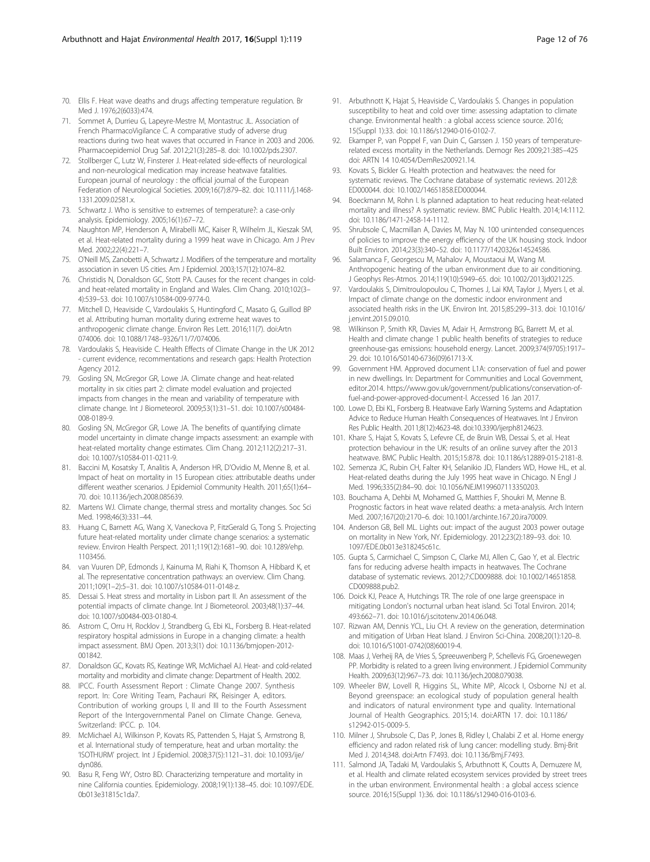- <span id="page-11-0"></span>70. Ellis F. Heat wave deaths and drugs affecting temperature regulation. Br Med J. 1976;2(6033):474.
- 71. Sommet A, Durrieu G, Lapeyre-Mestre M, Montastruc JL. Association of French PharmacoVigilance C. A comparative study of adverse drug reactions during two heat waves that occurred in France in 2003 and 2006. Pharmacoepidemiol Drug Saf. 2012;21(3):285–8. doi: [10.1002/pds.2307.](http://dx.doi.org/10.1002/pds.2307.)
- 72. Stollberger C, Lutz W, Finsterer J. Heat-related side-effects of neurological and non-neurological medication may increase heatwave fatalities. European journal of neurology : the official journal of the European Federation of Neurological Societies. 2009;16(7):879–82. doi: [10.1111/j.1468-](http://dx.doi.org/10.1111/j.1468-1331.2009.02581.x.) [1331.2009.02581.x.](http://dx.doi.org/10.1111/j.1468-1331.2009.02581.x.)
- 73. Schwartz J. Who is sensitive to extremes of temperature?: a case-only analysis. Epidemiology. 2005;16(1):67–72.
- 74. Naughton MP, Henderson A, Mirabelli MC, Kaiser R, Wilhelm JL, Kieszak SM, et al. Heat-related mortality during a 1999 heat wave in Chicago. Am J Prev Med. 2002;22(4):221–7.
- 75. O'Neill MS, Zanobetti A, Schwartz J. Modifiers of the temperature and mortality association in seven US cities. Am J Epidemiol. 2003;157(12):1074–82.
- 76. Christidis N, Donaldson GC, Stott PA. Causes for the recent changes in coldand heat-related mortality in England and Wales. Clim Chang. 2010;102(3– 4):539–53. doi: [10.1007/s10584-009-9774-0.](http://dx.doi.org/10.1007/s10584-009-9774-0)
- 77. Mitchell D, Heaviside C, Vardoulakis S, Huntingford C, Masato G, Guillod BP et al. Attributing human mortality during extreme heat waves to anthropogenic climate change. Environ Res Lett. 2016;11(7). doi:Artn 074006. doi: 10.1088/1748–[9326/11/7/074006.](http://dx.doi.org/10.1088/17489326/11/7/074006)
- 78. Vardoulakis S, Heaviside C. Health Effects of Climate Change in the UK 2012 - current evidence, recommentations and research gaps: Health Protection Agency 2012.
- 79. Gosling SN, McGregor GR, Lowe JA. Climate change and heat-related mortality in six cities part 2: climate model evaluation and projected impacts from changes in the mean and variability of temperature with climate change. Int J Biometeorol. 2009;53(1):31–51. doi: [10.1007/s00484-](http://dx.doi.org/10.1007/s00484-008-0189-9) [008-0189-9](http://dx.doi.org/10.1007/s00484-008-0189-9).
- 80. Gosling SN, McGregor GR, Lowe JA. The benefits of quantifying climate model uncertainty in climate change impacts assessment: an example with heat-related mortality change estimates. Clim Chang. 2012;112(2):217–31. doi: [10.1007/s10584-011-0211-9](http://dx.doi.org/10.1007/s10584-011-0211-9).
- 81. Baccini M, Kosatsky T, Analitis A, Anderson HR, D'Ovidio M, Menne B, et al. Impact of heat on mortality in 15 European cities: attributable deaths under different weather scenarios. J Epidemiol Community Health. 2011;65(1):64– 70. doi: [10.1136/jech.2008.085639.](http://dx.doi.org/10.1136/jech.2008.085639)
- 82. Martens WJ. Climate change, thermal stress and mortality changes. Soc Sci Med. 1998;46(3):331–44.
- 83. Huang C, Barnett AG, Wang X, Vaneckova P, FitzGerald G, Tong S. Projecting future heat-related mortality under climate change scenarios: a systematic review. Environ Health Perspect. 2011;119(12):1681–90. doi: [10.1289/ehp.](http://dx.doi.org/10.1289/ehp.1103456) [1103456.](http://dx.doi.org/10.1289/ehp.1103456)
- 84. van Vuuren DP, Edmonds J, Kainuma M, Riahi K, Thomson A, Hibbard K, et al. The representative concentration pathways: an overview. Clim Chang. 2011;109(1–2):5–31. doi: [10.1007/s10584-011-0148-z](http://dx.doi.org/10.1007/s10584-011-0148-z).
- 85. Dessai S. Heat stress and mortality in Lisbon part II. An assessment of the potential impacts of climate change. Int J Biometeorol. 2003;48(1):37–44. doi: [10.1007/s00484-003-0180-4](http://dx.doi.org/10.1007/s00484-003-0180-4).
- 86. Astrom C, Orru H, Rocklov J, Strandberg G, Ebi KL, Forsberg B. Heat-related respiratory hospital admissions in Europe in a changing climate: a health impact assessment. BMJ Open. 2013;3(1) doi: [10.1136/bmjopen-2012-](http://dx.doi.org/10.1136/bmjopen-2012-001842) [001842](http://dx.doi.org/10.1136/bmjopen-2012-001842).
- 87. Donaldson GC, Kovats RS, Keatinge WR, McMichael AJ. Heat- and cold-related mortality and morbidity and climate change: Department of Health. 2002.
- 88. IPCC. Fourth Assessment Report : Climate Change 2007. Synthesis report. In: Core Writing Team, Pachauri RK, Reisinger A, editors. Contribution of working groups I, II and III to the Fourth Assessment Report of the Intergovernmental Panel on Climate Change. Geneva, Switzerland: IPCC. p. 104.
- 89. McMichael AJ, Wilkinson P, Kovats RS, Pattenden S, Hajat S, Armstrong B, et al. International study of temperature, heat and urban mortality: the 'ISOTHURM' project. Int J Epidemiol. 2008;37(5):1121–31. doi: [10.1093/ije/](http://dx.doi.org/10.1093/ije/dyn086) [dyn086.](http://dx.doi.org/10.1093/ije/dyn086)
- 90. Basu R, Feng WY, Ostro BD. Characterizing temperature and mortality in nine California counties. Epidemiology. 2008;19(1):138–45. doi: [10.1097/EDE.](http://dx.doi.org/10.1097/EDE.0b013e31815c1da7) [0b013e31815c1da7.](http://dx.doi.org/10.1097/EDE.0b013e31815c1da7)
- 91. Arbuthnott K, Hajat S, Heaviside C, Vardoulakis S. Changes in population susceptibility to heat and cold over time: assessing adaptation to climate change. Environmental health : a global access science source. 2016; 15(Suppl 1):33. doi: [10.1186/s12940-016-0102-7.](http://dx.doi.org/10.1186/s12940-016-0102-7.)
- 92. Ekamper P, van Poppel F, van Duin C, Garssen J. 150 years of temperaturerelated excess mortality in the Netherlands. Demogr Res 2009;21:385–425 doi: ARTN 14 [10.4054/DemRes200921.14.](http://dx.doi.org/10.4054/DemRes200921.14)
- 93. Kovats S, Bickler G. Health protection and heatwaves: the need for systematic reviews. The Cochrane database of systematic reviews. 2012;8: ED000044. doi: [10.1002/14651858.ED000044.](http://dx.doi.org/10.1002/14651858.ED000044.)
- 94. Boeckmann M, Rohn I. Is planned adaptation to heat reducing heat-related mortality and illness? A systematic review. BMC Public Health. 2014;14:1112. doi: [10.1186/1471-2458-14-1112](http://dx.doi.org/10.1186/1471-2458-14-1112).
- 95. Shrubsole C, Macmillan A, Davies M, May N. 100 unintended consequences of policies to improve the energy efficiency of the UK housing stock. Indoor Built Environ. 2014;23(3):340–52. doi: [10.1177/1420326x14524586.](http://dx.doi.org/10.1177/1420326x14524586)
- 96. Salamanca F, Georgescu M, Mahalov A, Moustaoui M, Wang M. Anthropogenic heating of the urban environment due to air conditioning. J Geophys Res-Atmos. 2014;119(10):5949–65. doi: [10.1002/2013jd021225.](http://dx.doi.org/10.1002/2013jd021225)
- 97. Vardoulakis S, Dimitroulopoulou C, Thornes J, Lai KM, Taylor J, Myers I, et al. Impact of climate change on the domestic indoor environment and associated health risks in the UK. Environ Int. 2015;85:299–313. doi: [10.1016/](http://dx.doi.org/10.1016/j.envint.2015.09.010) [j.envint.2015.09.010](http://dx.doi.org/10.1016/j.envint.2015.09.010).
- 98. Wilkinson P, Smith KR, Davies M, Adair H, Armstrong BG, Barrett M, et al. Health and climate change 1 public health benefits of strategies to reduce greenhouse-gas emissions: household energy. Lancet. 2009;374(9705):1917– 29. doi: [10.1016/S0140-6736\(09\)61713-X.](http://dx.doi.org/10.1016/S0140-6736(09)61713-X.)
- 99. Government HM. Approved document L1A: conservation of fuel and power in new dwellings. In: Department for Communities and Local Government, editor.2014. [https://www.gov.uk/government/publications/conservation-of](https://www.gov.uk/government/publications/conservation-of-fuel-and-power-approved-document-l)[fuel-and-power-approved-document-l.](https://www.gov.uk/government/publications/conservation-of-fuel-and-power-approved-document-l) Accessed 16 Jan 2017.
- 100. Lowe D, Ebi KL, Forsberg B. Heatwave Early Warning Systems and Adaptation Advice to Reduce Human Health Consequences of Heatwaves. Int J Environ Res Public Health. 2011;8(12):4623-48. doi[:10.3390/ijerph8124623.](http://dx.doi.org/10.3390/ijerph8124623)
- 101. Khare S, Hajat S, Kovats S, Lefevre CE, de Bruin WB, Dessai S, et al. Heat protection behaviour in the UK: results of an online survey after the 2013 heatwave. BMC Public Health. 2015;15:878. doi: [10.1186/s12889-015-2181-8.](http://dx.doi.org/10.1186/s12889-015-2181-8)
- 102. Semenza JC, Rubin CH, Falter KH, Selanikio JD, Flanders WD, Howe HL, et al. Heat-related deaths during the July 1995 heat wave in Chicago. N Engl J Med. 1996;335(2):84–90. doi: [10.1056/NEJM199607113350203.](http://dx.doi.org/10.1056/NEJM199607113350203.)
- 103. Bouchama A, Dehbi M, Mohamed G, Matthies F, Shoukri M, Menne B. Prognostic factors in heat wave related deaths: a meta-analysis. Arch Intern Med. 2007;167(20):2170–6. doi: [10.1001/archinte.167.20.ira70009.](http://dx.doi.org/10.1001/archinte.167.20.ira70009.)
- 104. Anderson GB, Bell ML. Lights out: impact of the august 2003 power outage on mortality in New York, NY. Epidemiology. 2012;23(2):189–93. doi: [10.](http://dx.doi.org/10.1097/EDE.0b013e318245c61c) [1097/EDE.0b013e318245c61c.](http://dx.doi.org/10.1097/EDE.0b013e318245c61c)
- 105. Gupta S, Carmichael C, Simpson C, Clarke MJ, Allen C, Gao Y, et al. Electric fans for reducing adverse health impacts in heatwaves. The Cochrane database of systematic reviews. 2012;7:CD009888. doi: [10.1002/14651858.](http://dx.doi.org/10.1002/14651858.CD009888.pub2) [CD009888.pub2.](http://dx.doi.org/10.1002/14651858.CD009888.pub2)
- 106. Doick KJ, Peace A, Hutchings TR. The role of one large greenspace in mitigating London's nocturnal urban heat island. Sci Total Environ. 2014; 493:662–71. doi: [10.1016/j.scitotenv.2014.06.048](http://dx.doi.org/10.1016/j.scitotenv.2014.06.048).
- 107. Rizwan AM, Dennis YCL, Liu CH. A review on the generation, determination and mitigation of Urban Heat Island. J Environ Sci-China. 2008;20(1):120–8. doi: [10.1016/S1001-0742\(08\)60019-4.](http://dx.doi.org/10.1016/S1001-0742(08)60019-4)
- 108. Maas J, Verheij RA, de Vries S, Spreeuwenberg P, Schellevis FG, Groenewegen PP. Morbidity is related to a green living environment. J Epidemiol Community Health. 2009;63(12):967–73. doi: [10.1136/jech.2008.079038](http://dx.doi.org/10.1136/jech.2008.079038).
- 109. Wheeler BW, Lovell R, Higgins SL, White MP, Alcock I, Osborne NJ et al. Beyond greenspace: an ecological study of population general health and indicators of natural environment type and quality. International Journal of Health Geographics. 2015;14. doi:ARTN 17. doi: [10.1186/](http://dx.doi.org/10.1186/s12942-015-0009-5) [s12942-015-0009-5](http://dx.doi.org/10.1186/s12942-015-0009-5).
- 110. Milner J, Shrubsole C, Das P, Jones B, Ridley I, Chalabi Z et al. Home energy efficiency and radon related risk of lung cancer: modelling study. Bmj-Brit Med J. 2014;348. doi:Artn F7493. doi: [10.1136/Bmj.F7493](http://dx.doi.org/10.1136/Bmj.F7493).
- 111. Salmond JA, Tadaki M, Vardoulakis S, Arbuthnott K, Coutts A, Demuzere M, et al. Health and climate related ecosystem services provided by street trees in the urban environment. Environmental health : a global access science source. 2016;15(Suppl 1):36. doi: [10.1186/s12940-016-0103-6.](http://dx.doi.org/10.1186/s12940-016-0103-6.)